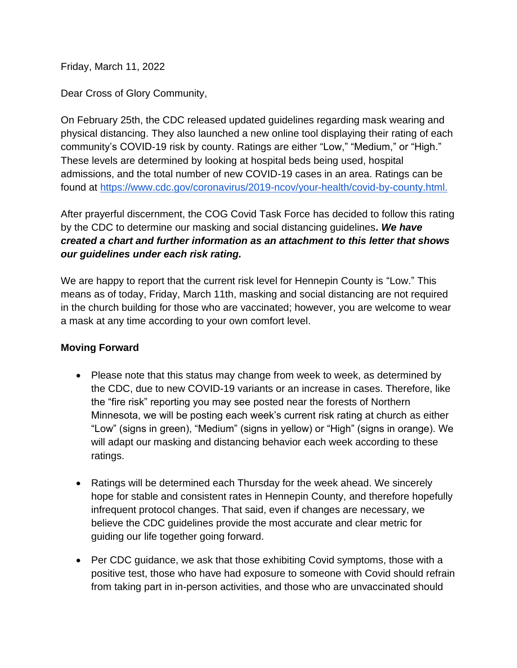Friday, March 11, 2022

Dear Cross of Glory Community,

On February 25th, the CDC released updated guidelines regarding mask wearing and physical distancing. They also launched a new online tool displaying their rating of each community's COVID-19 risk by county. Ratings are either "Low," "Medium," or "High." These levels are determined by looking at hospital beds being used, hospital admissions, and the total number of new COVID-19 cases in an area. Ratings can be found at [https://www.cdc.gov/coronavirus/2019-ncov/your-health/covid-by-county.html.](https://www.cdc.gov/coronavirus/2019-ncov/your-health/covid-by-county.html)

After prayerful discernment, the COG Covid Task Force has decided to follow this rating by the CDC to determine our masking and social distancing guidelines**.** *We have created a chart and further information as an attachment to this letter that shows our guidelines under each risk rating.*

We are happy to report that the current risk level for Hennepin County is "Low." This means as of today, Friday, March 11th, masking and social distancing are not required in the church building for those who are vaccinated; however, you are welcome to wear a mask at any time according to your own comfort level.

## **Moving Forward**

- Please note that this status may change from week to week, as determined by the CDC, due to new COVID-19 variants or an increase in cases. Therefore, like the "fire risk" reporting you may see posted near the forests of Northern Minnesota, we will be posting each week's current risk rating at church as either "Low" (signs in green), "Medium" (signs in yellow) or "High" (signs in orange). We will adapt our masking and distancing behavior each week according to these ratings.
- Ratings will be determined each Thursday for the week ahead. We sincerely hope for stable and consistent rates in Hennepin County, and therefore hopefully infrequent protocol changes. That said, even if changes are necessary, we believe the CDC guidelines provide the most accurate and clear metric for guiding our life together going forward.
- Per CDC guidance, we ask that those exhibiting Covid symptoms, those with a positive test, those who have had exposure to someone with Covid should refrain from taking part in in-person activities, and those who are unvaccinated should